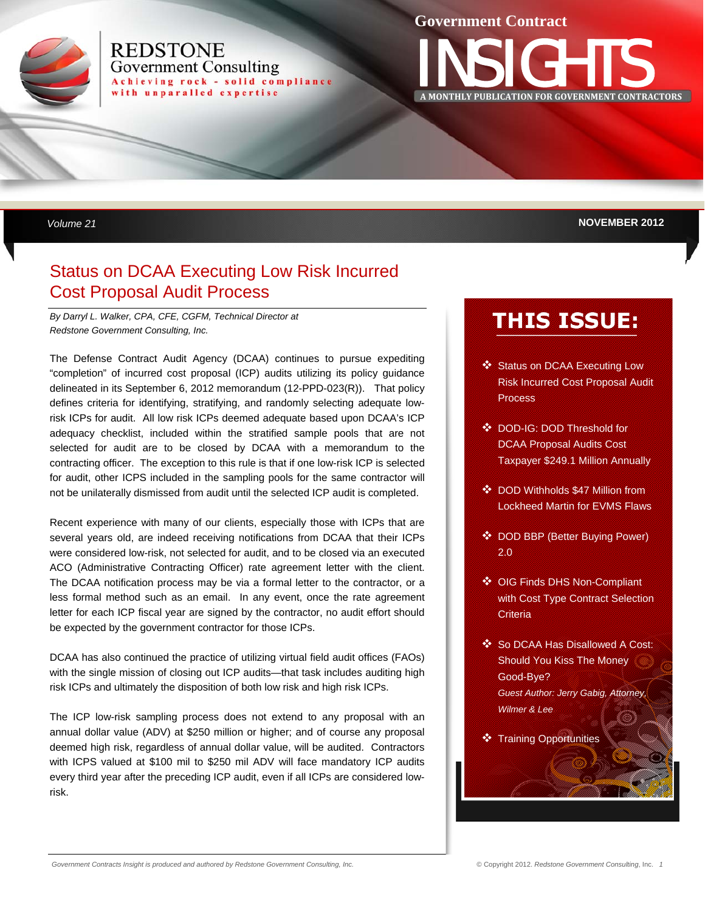

### **REDSTONE Government Consulting** Achieving rock - solid compliance with unparalled expertise

### **Government Contract**

INSIGHTS **<sup>A</sup> MONTHLY PUBLICATION FOR GOVERNMENT CONTRACTORS**

 *Volume 21* **NOVEMBER 2012** 

# Status on DCAA Executing Low Risk Incurred Cost Proposal Audit Process

*By Darryl L. Walker, CPA, CFE, CGFM, Technical Director at Redstone Government Consulting, Inc.* 

The Defense Contract Audit Agency (DCAA) continues to pursue expediting "completion" of incurred cost proposal (ICP) audits utilizing its policy guidance delineated in its September 6, 2012 memorandum (12-PPD-023(R)). That policy defines criteria for identifying, stratifying, and randomly selecting adequate lowrisk ICPs for audit. All low risk ICPs deemed adequate based upon DCAA's ICP adequacy checklist, included within the stratified sample pools that are not selected for audit are to be closed by DCAA with a memorandum to the contracting officer. The exception to this rule is that if one low-risk ICP is selected for audit, other ICPS included in the sampling pools for the same contractor will not be unilaterally dismissed from audit until the selected ICP audit is completed.

Recent experience with many of our clients, especially those with ICPs that are several years old, are indeed receiving notifications from DCAA that their ICPs were considered low-risk, not selected for audit, and to be closed via an executed ACO (Administrative Contracting Officer) rate agreement letter with the client. The DCAA notification process may be via a formal letter to the contractor, or a less formal method such as an email. In any event, once the rate agreement letter for each ICP fiscal year are signed by the contractor, no audit effort should be expected by the government contractor for those ICPs.

DCAA has also continued the practice of utilizing virtual field audit offices (FAOs) with the single mission of closing out ICP audits—that task includes auditing high risk ICPs and ultimately the disposition of both low risk and high risk ICPs.

The ICP low-risk sampling process does not extend to any proposal with an annual dollar value (ADV) at \$250 million or higher; and of course any proposal deemed high risk, regardless of annual dollar value, will be audited. Contractors with ICPS valued at \$100 mil to \$250 mil ADV will face mandatory ICP audits every third year after the preceding ICP audit, even if all ICPs are considered lowrisk.

# **THIS ISSUE:**

- Status on DCAA Executing Low Risk Incurred Cost Proposal Audit Process
- DOD-IG: DOD Threshold for DCAA Proposal Audits Cost Taxpayer \$249.1 Million Annually
- DOD Withholds \$47 Million from Lockheed Martin for EVMS Flaws
- DOD BBP (Better Buying Power) 2.0
- ◆ OIG Finds DHS Non-Compliant with Cost Type Contract Selection **Criteria**
- ❖ So DCAA Has Disallowed A Cost: Should You Kiss The Money Good-Bye? *Guest Author: Jerry Gabig, Attorney, Wilmer & Lee*
- Training Opportunities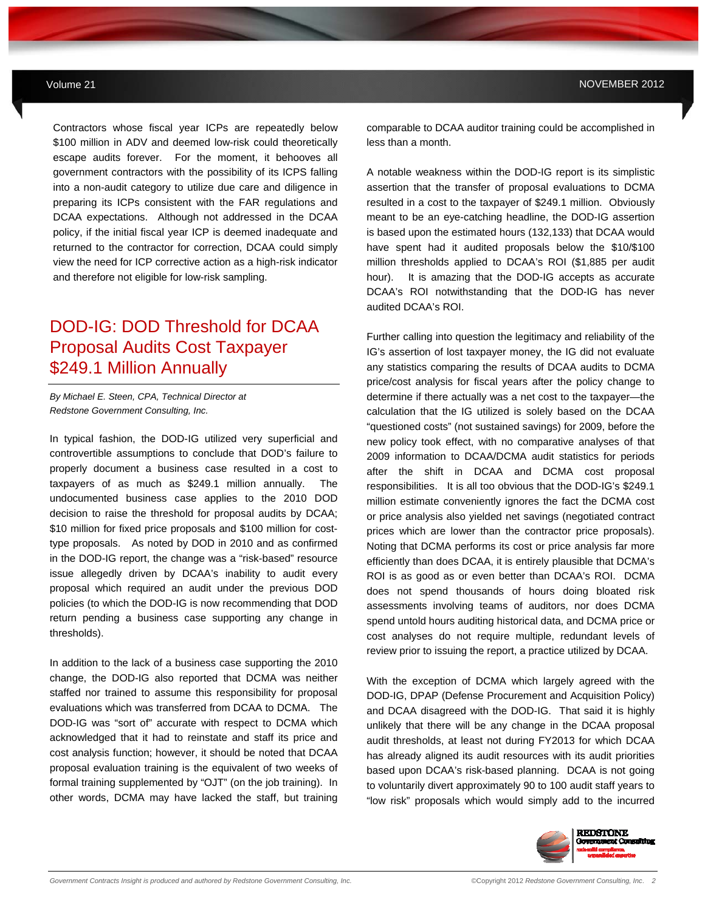Contractors whose fiscal year ICPs are repeatedly below \$100 million in ADV and deemed low-risk could theoretically escape audits forever. For the moment, it behooves all government contractors with the possibility of its ICPS falling into a non-audit category to utilize due care and diligence in preparing its ICPs consistent with the FAR regulations and DCAA expectations. Although not addressed in the DCAA policy, if the initial fiscal year ICP is deemed inadequate and returned to the contractor for correction, DCAA could simply view the need for ICP corrective action as a high-risk indicator and therefore not eligible for low-risk sampling.

## DOD-IG: DOD Threshold for DCAA Proposal Audits Cost Taxpayer \$249.1 Million Annually

*By Michael E. Steen, CPA, Technical Director at Redstone Government Consulting, Inc.*

In typical fashion, the DOD-IG utilized very superficial and controvertible assumptions to conclude that DOD's failure to properly document a business case resulted in a cost to taxpayers of as much as \$249.1 million annually. The undocumented business case applies to the 2010 DOD decision to raise the threshold for proposal audits by DCAA; \$10 million for fixed price proposals and \$100 million for costtype proposals. As noted by DOD in 2010 and as confirmed in the DOD-IG report, the change was a "risk-based" resource issue allegedly driven by DCAA's inability to audit every proposal which required an audit under the previous DOD policies (to which the DOD-IG is now recommending that DOD return pending a business case supporting any change in thresholds).

In addition to the lack of a business case supporting the 2010 change, the DOD-IG also reported that DCMA was neither staffed nor trained to assume this responsibility for proposal evaluations which was transferred from DCAA to DCMA. The DOD-IG was "sort of" accurate with respect to DCMA which acknowledged that it had to reinstate and staff its price and cost analysis function; however, it should be noted that DCAA proposal evaluation training is the equivalent of two weeks of formal training supplemented by "OJT" (on the job training). In other words, DCMA may have lacked the staff, but training comparable to DCAA auditor training could be accomplished in less than a month.

A notable weakness within the DOD-IG report is its simplistic assertion that the transfer of proposal evaluations to DCMA resulted in a cost to the taxpayer of \$249.1 million. Obviously meant to be an eye-catching headline, the DOD-IG assertion is based upon the estimated hours (132,133) that DCAA would have spent had it audited proposals below the \$10/\$100 million thresholds applied to DCAA's ROI (\$1,885 per audit hour). It is amazing that the DOD-IG accepts as accurate DCAA's ROI notwithstanding that the DOD-IG has never audited DCAA's ROI.

Further calling into question the legitimacy and reliability of the IG's assertion of lost taxpayer money, the IG did not evaluate any statistics comparing the results of DCAA audits to DCMA price/cost analysis for fiscal years after the policy change to determine if there actually was a net cost to the taxpayer—the calculation that the IG utilized is solely based on the DCAA "questioned costs" (not sustained savings) for 2009, before the new policy took effect, with no comparative analyses of that 2009 information to DCAA/DCMA audit statistics for periods after the shift in DCAA and DCMA cost proposal responsibilities. It is all too obvious that the DOD-IG's \$249.1 million estimate conveniently ignores the fact the DCMA cost or price analysis also yielded net savings (negotiated contract prices which are lower than the contractor price proposals). Noting that DCMA performs its cost or price analysis far more efficiently than does DCAA, it is entirely plausible that DCMA's ROI is as good as or even better than DCAA's ROI. DCMA does not spend thousands of hours doing bloated risk assessments involving teams of auditors, nor does DCMA spend untold hours auditing historical data, and DCMA price or cost analyses do not require multiple, redundant levels of review prior to issuing the report, a practice utilized by DCAA.

With the exception of DCMA which largely agreed with the DOD-IG, DPAP (Defense Procurement and Acquisition Policy) and DCAA disagreed with the DOD-IG. That said it is highly unlikely that there will be any change in the DCAA proposal audit thresholds, at least not during FY2013 for which DCAA has already aligned its audit resources with its audit priorities based upon DCAA's risk-based planning. DCAA is not going to voluntarily divert approximately 90 to 100 audit staff years to "low risk" proposals which would simply add to the incurred

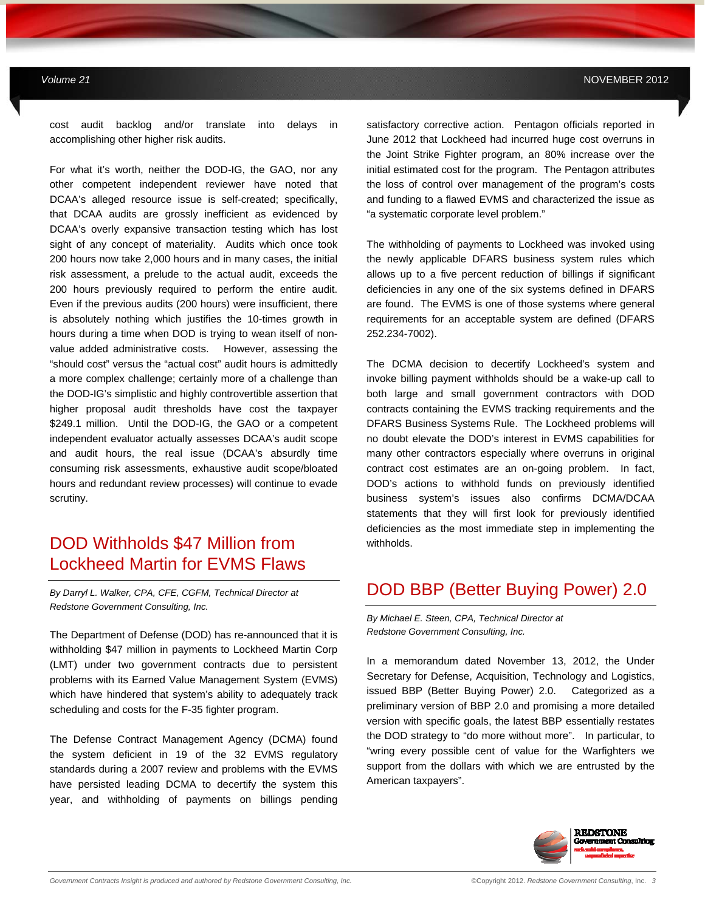cost audit backlog and/or translate into delays in accomplishing other higher risk audits.

**MAY 2012** *Government Contracts Insights Newsletter*

For what it's worth, neither the DOD-IG, the GAO, nor any other competent independent reviewer have noted that DCAA's alleged resource issue is self-created; specifically, that DCAA audits are grossly inefficient as evidenced by DCAA's overly expansive transaction testing which has lost sight of any concept of materiality. Audits which once took 200 hours now take 2,000 hours and in many cases, the initial risk assessment, a prelude to the actual audit, exceeds the 200 hours previously required to perform the entire audit. Even if the previous audits (200 hours) were insufficient, there is absolutely nothing which justifies the 10-times growth in hours during a time when DOD is trying to wean itself of nonvalue added administrative costs. However, assessing the "should cost" versus the "actual cost" audit hours is admittedly a more complex challenge; certainly more of a challenge than the DOD-IG's simplistic and highly controvertible assertion that higher proposal audit thresholds have cost the taxpayer \$249.1 million. Until the DOD-IG, the GAO or a competent independent evaluator actually assesses DCAA's audit scope and audit hours, the real issue (DCAA's absurdly time consuming risk assessments, exhaustive audit scope/bloated hours and redundant review processes) will continue to evade scrutiny.

## DOD Withholds \$47 Million from Lockheed Martin for EVMS Flaws

*By Darryl L. Walker, CPA, CFE, CGFM, Technical Director at Redstone Government Consulting, Inc.* 

The Department of Defense (DOD) has re-announced that it is withholding \$47 million in payments to Lockheed Martin Corp (LMT) under two government contracts due to persistent problems with its Earned Value Management System (EVMS) which have hindered that system's ability to adequately track scheduling and costs for the F-35 fighter program.

The Defense Contract Management Agency (DCMA) found the system deficient in 19 of the 32 EVMS regulatory standards during a 2007 review and problems with the EVMS have persisted leading DCMA to decertify the system this year, and withholding of payments on billings pending satisfactory corrective action. Pentagon officials reported in June 2012 that Lockheed had incurred huge cost overruns in the Joint Strike Fighter program, an 80% increase over the initial estimated cost for the program. The Pentagon attributes the loss of control over management of the program's costs and funding to a flawed EVMS and characterized the issue as "a systematic corporate level problem."

The withholding of payments to Lockheed was invoked using the newly applicable DFARS business system rules which allows up to a five percent reduction of billings if significant deficiencies in any one of the six systems defined in DFARS are found. The EVMS is one of those systems where general requirements for an acceptable system are defined (DFARS 252.234-7002).

The DCMA decision to decertify Lockheed's system and invoke billing payment withholds should be a wake-up call to both large and small government contractors with DOD contracts containing the EVMS tracking requirements and the DFARS Business Systems Rule. The Lockheed problems will no doubt elevate the DOD's interest in EVMS capabilities for many other contractors especially where overruns in original contract cost estimates are an on-going problem. In fact, DOD's actions to withhold funds on previously identified business system's issues also confirms DCMA/DCAA statements that they will first look for previously identified deficiencies as the most immediate step in implementing the withholds.

## DOD BBP (Better Buying Power) 2.0

*By Michael E. Steen, CPA, Technical Director at Redstone Government Consulting, Inc.* 

In a memorandum dated November 13, 2012, the Under Secretary for Defense, Acquisition, Technology and Logistics, issued BBP (Better Buying Power) 2.0. Categorized as a preliminary version of BBP 2.0 and promising a more detailed version with specific goals, the latest BBP essentially restates the DOD strategy to "do more without more". In particular, to "wring every possible cent of value for the Warfighters we support from the dollars with which we are entrusted by the American taxpayers".

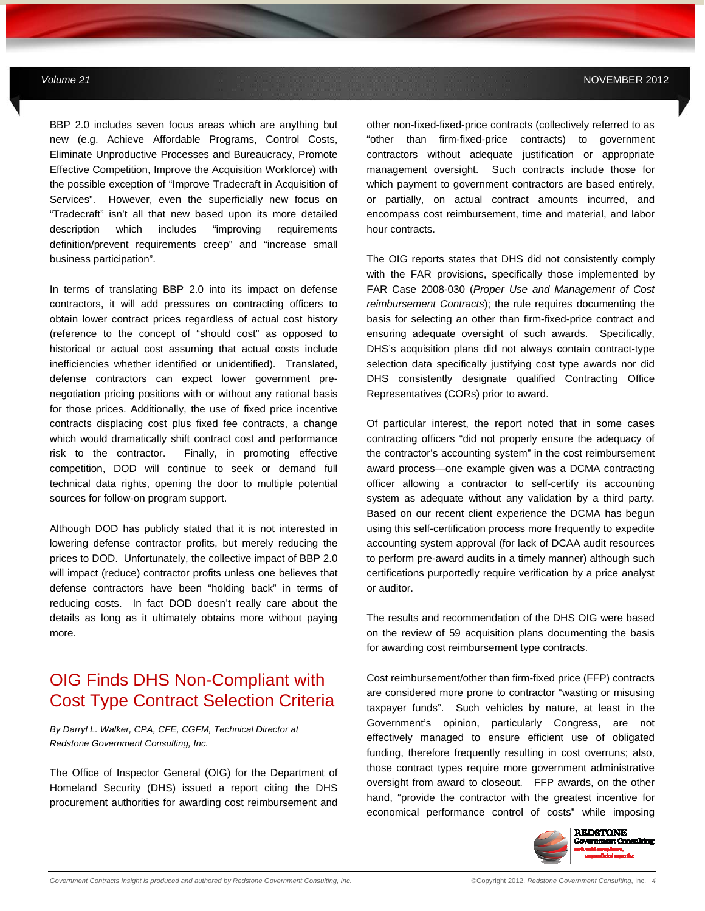BBP 2.0 includes seven focus areas which are anything but new (e.g. Achieve Affordable Programs, Control Costs, Eliminate Unproductive Processes and Bureaucracy, Promote Effective Competition, Improve the Acquisition Workforce) with the possible exception of "Improve Tradecraft in Acquisition of Services". However, even the superficially new focus on "Tradecraft" isn't all that new based upon its more detailed description which includes "improving requirements definition/prevent requirements creep" and "increase small business participation".

**MAY 2012** *Government Contracts Insights Newsletter*

In terms of translating BBP 2.0 into its impact on defense contractors, it will add pressures on contracting officers to obtain lower contract prices regardless of actual cost history (reference to the concept of "should cost" as opposed to historical or actual cost assuming that actual costs include inefficiencies whether identified or unidentified). Translated, defense contractors can expect lower government prenegotiation pricing positions with or without any rational basis for those prices. Additionally, the use of fixed price incentive contracts displacing cost plus fixed fee contracts, a change which would dramatically shift contract cost and performance risk to the contractor. Finally, in promoting effective competition, DOD will continue to seek or demand full technical data rights, opening the door to multiple potential sources for follow-on program support.

Although DOD has publicly stated that it is not interested in lowering defense contractor profits, but merely reducing the prices to DOD. Unfortunately, the collective impact of BBP 2.0 will impact (reduce) contractor profits unless one believes that defense contractors have been "holding back" in terms of reducing costs. In fact DOD doesn't really care about the details as long as it ultimately obtains more without paying more.

## OIG Finds DHS Non-Compliant with Cost Type Contract Selection Criteria

*By Darryl L. Walker, CPA, CFE, CGFM, Technical Director at Redstone Government Consulting, Inc.* 

The Office of Inspector General (OIG) for the Department of Homeland Security (DHS) issued a report citing the DHS procurement authorities for awarding cost reimbursement and other non-fixed-fixed-price contracts (collectively referred to as "other than firm-fixed-price contracts) to government contractors without adequate justification or appropriate management oversight. Such contracts include those for which payment to government contractors are based entirely, or partially, on actual contract amounts incurred, and encompass cost reimbursement, time and material, and labor hour contracts.

The OIG reports states that DHS did not consistently comply with the FAR provisions, specifically those implemented by FAR Case 2008-030 (*Proper Use and Management of Cost reimbursement Contracts*); the rule requires documenting the basis for selecting an other than firm-fixed-price contract and ensuring adequate oversight of such awards. Specifically, DHS's acquisition plans did not always contain contract-type selection data specifically justifying cost type awards nor did DHS consistently designate qualified Contracting Office Representatives (CORs) prior to award.

Of particular interest, the report noted that in some cases contracting officers "did not properly ensure the adequacy of the contractor's accounting system" in the cost reimbursement award process—one example given was a DCMA contracting officer allowing a contractor to self-certify its accounting system as adequate without any validation by a third party. Based on our recent client experience the DCMA has begun using this self-certification process more frequently to expedite accounting system approval (for lack of DCAA audit resources to perform pre-award audits in a timely manner) although such certifications purportedly require verification by a price analyst or auditor.

The results and recommendation of the DHS OIG were based on the review of 59 acquisition plans documenting the basis for awarding cost reimbursement type contracts.

Cost reimbursement/other than firm-fixed price (FFP) contracts are considered more prone to contractor "wasting or misusing taxpayer funds". Such vehicles by nature, at least in the Government's opinion, particularly Congress, are not effectively managed to ensure efficient use of obligated funding, therefore frequently resulting in cost overruns; also, those contract types require more government administrative oversight from award to closeout. FFP awards, on the other hand, "provide the contractor with the greatest incentive for economical performance control of costs" while imposing

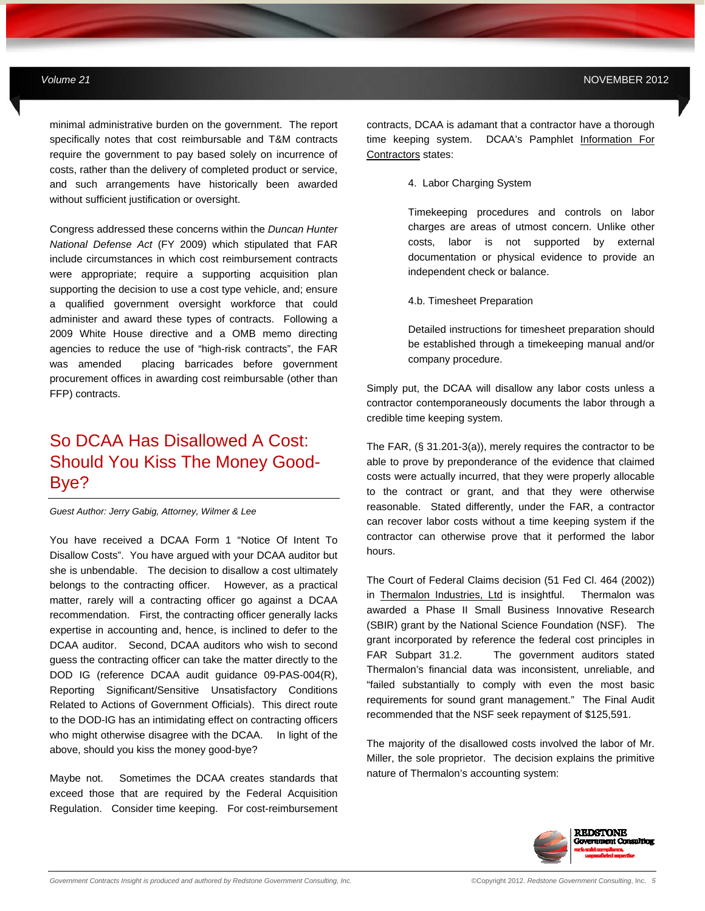minimal administrative burden on the government. The report specifically notes that cost reimbursable and T&M contracts require the government to pay based solely on incurrence of costs, rather than the delivery of completed product or service, and such arrangements have historically been awarded without sufficient justification or oversight.

**MAY 2012** *Government Contracts Insights Newsletter*

Congress addressed these concerns within the *Duncan Hunter National Defense Act* (FY 2009) which stipulated that FAR include circumstances in which cost reimbursement contracts were appropriate; require a supporting acquisition plan supporting the decision to use a cost type vehicle, and; ensure a qualified government oversight workforce that could administer and award these types of contracts. Following a 2009 White House directive and a OMB memo directing agencies to reduce the use of "high-risk contracts", the FAR was amended placing barricades before government procurement offices in awarding cost reimbursable (other than FFP) contracts.

# So DCAA Has Disallowed A Cost: Should You Kiss The Money Good-Bye?

*Guest Author: Jerry Gabig, Attorney, Wilmer & Lee* 

You have received a DCAA Form 1 "Notice Of Intent To Disallow Costs". You have argued with your DCAA auditor but she is unbendable. The decision to disallow a cost ultimately belongs to the contracting officer. However, as a practical matter, rarely will a contracting officer go against a DCAA recommendation. First, the contracting officer generally lacks expertise in accounting and, hence, is inclined to defer to the DCAA auditor. Second, DCAA auditors who wish to second guess the contracting officer can take the matter directly to the DOD IG (reference DCAA audit guidance 09-PAS-004(R), Reporting Significant/Sensitive Unsatisfactory Conditions Related to Actions of Government Officials). This direct route to the DOD-IG has an intimidating effect on contracting officers who might otherwise disagree with the DCAA. In light of the above, should you kiss the money good-bye?

Maybe not. Sometimes the DCAA creates standards that exceed those that are required by the Federal Acquisition Regulation. Consider time keeping. For cost-reimbursement

contracts, DCAA is adamant that a contractor have a thorough time keeping system. DCAA's Pamphlet Information For Contractors states:

4. Labor Charging System

Timekeeping procedures and controls on labor charges are areas of utmost concern. Unlike other costs, labor is not supported by external documentation or physical evidence to provide an independent check or balance.

4.b. Timesheet Preparation

Detailed instructions for timesheet preparation should be established through a timekeeping manual and/or company procedure.

Simply put, the DCAA will disallow any labor costs unless a contractor contemporaneously documents the labor through a credible time keeping system.

The FAR, (§ 31.201-3(a)), merely requires the contractor to be able to prove by preponderance of the evidence that claimed costs were actually incurred, that they were properly allocable to the contract or grant, and that they were otherwise reasonable. Stated differently, under the FAR, a contractor can recover labor costs without a time keeping system if the contractor can otherwise prove that it performed the labor hours.

The Court of Federal Claims decision (51 Fed Cl. 464 (2002)) in Thermalon Industries, Ltd is insightful. Thermalon was awarded a Phase II Small Business Innovative Research (SBIR) grant by the National Science Foundation (NSF). The grant incorporated by reference the federal cost principles in FAR Subpart 31.2. The government auditors stated Thermalon's financial data was inconsistent, unreliable, and "failed substantially to comply with even the most basic requirements for sound grant management." The Final Audit recommended that the NSF seek repayment of \$125,591.

The majority of the disallowed costs involved the labor of Mr. Miller, the sole proprietor. The decision explains the primitive nature of Thermalon's accounting system:

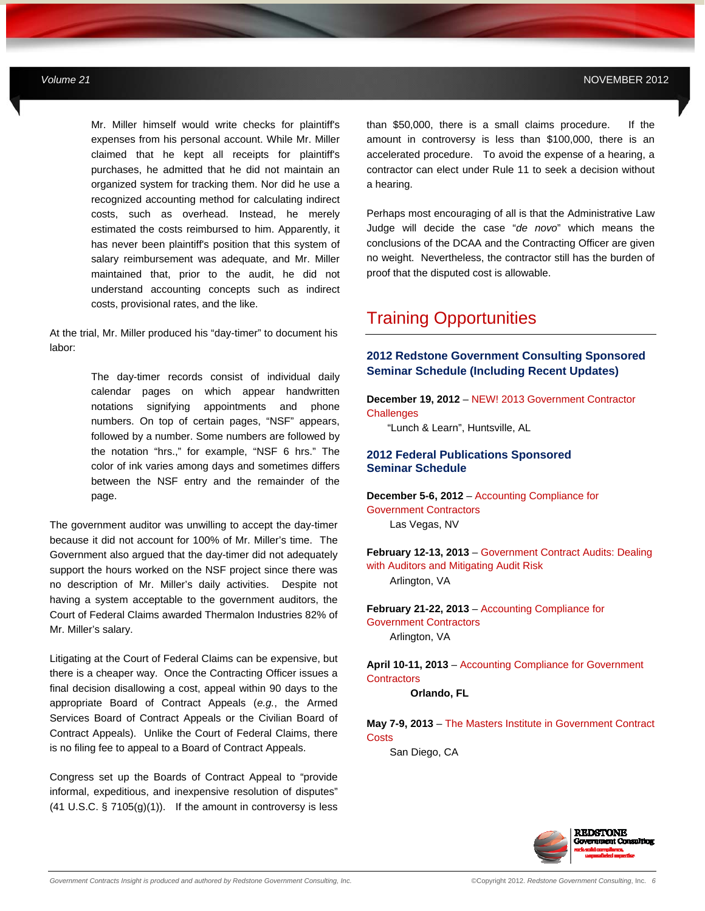Mr. Miller himself would write checks for plaintiff's expenses from his personal account. While Mr. Miller claimed that he kept all receipts for plaintiff's purchases, he admitted that he did not maintain an organized system for tracking them. Nor did he use a recognized accounting method for calculating indirect costs, such as overhead. Instead, he merely estimated the costs reimbursed to him. Apparently, it has never been plaintiff's position that this system of salary reimbursement was adequate, and Mr. Miller maintained that, prior to the audit, he did not understand accounting concepts such as indirect costs, provisional rates, and the like.

**MAY 2012** *Government Contracts Insights Newsletter*

At the trial, Mr. Miller produced his "day-timer" to document his labor:

> The day-timer records consist of individual daily calendar pages on which appear handwritten notations signifying appointments and phone numbers. On top of certain pages, "NSF" appears, followed by a number. Some numbers are followed by the notation "hrs.," for example, "NSF 6 hrs." The color of ink varies among days and sometimes differs between the NSF entry and the remainder of the page.

The government auditor was unwilling to accept the day-timer because it did not account for 100% of Mr. Miller's time. The Government also argued that the day-timer did not adequately support the hours worked on the NSF project since there was no description of Mr. Miller's daily activities. Despite not having a system acceptable to the government auditors, the Court of Federal Claims awarded Thermalon Industries 82% of Mr. Miller's salary.

Litigating at the Court of Federal Claims can be expensive, but there is a cheaper way. Once the Contracting Officer issues a final decision disallowing a cost, appeal within 90 days to the appropriate Board of Contract Appeals (*e.g.*, the Armed Services Board of Contract Appeals or the Civilian Board of Contract Appeals). Unlike the Court of Federal Claims, there is no filing fee to appeal to a Board of Contract Appeals.

Congress set up the Boards of Contract Appeal to "provide informal, expeditious, and inexpensive resolution of disputes" (41 U.S.C.  $\S$  7105(g)(1)). If the amount in controversy is less than \$50,000, there is a small claims procedure. If the amount in controversy is less than \$100,000, there is an accelerated procedure. To avoid the expense of a hearing, a contractor can elect under Rule 11 to seek a decision without a hearing.

Perhaps most encouraging of all is that the Administrative Law Judge will decide the case "*de novo*" which means the conclusions of the DCAA and the Contracting Officer are given no weight. Nevertheless, the contractor still has the burden of proof that the disputed cost is allowable.

## Training Opportunities

### **2012 Redstone Government Consulting Sponsored Seminar Schedule (Including Recent Updates)**

**December 19, 2012** – NEW! 2013 Government Contractor **Challenges** 

"Lunch & Learn", Huntsville, AL

### **2012 Federal Publications Sponsored Seminar Schedule**

**December 5-6, 2012** – Accounting Compliance for Government Contractors Las Vegas, NV

**February 12-13, 2013** – Government Contract Audits: Dealing with Auditors and Mitigating Audit Risk Arlington, VA

**February 21-22, 2013** – Accounting Compliance for Government Contractors Arlington, VA

**April 10-11, 2013** – Accounting Compliance for Government **Contractors** 

 **Orlando, FL** 

**May 7-9, 2013** – The Masters Institute in Government Contract **Costs** 

San Diego, CA